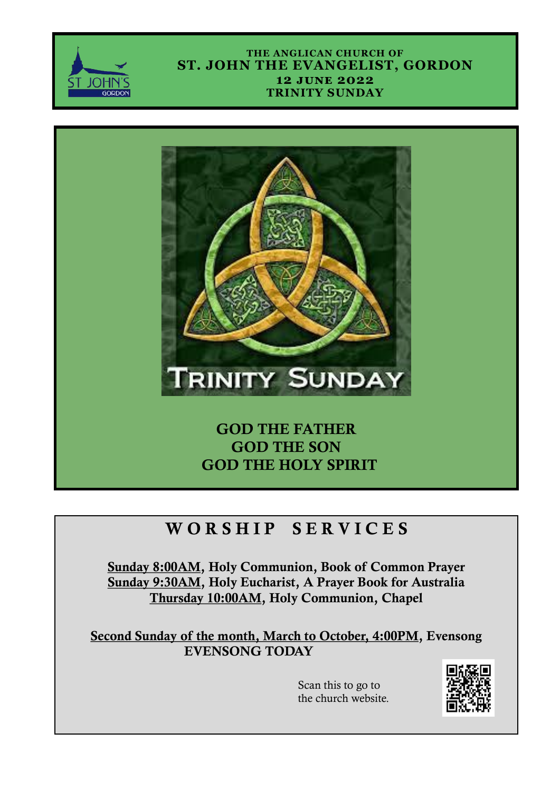

#### **THE ANGLICAN CHURCH OF ST. JOHN THE EVANGELIST, GORDON 12 june 2022 TRINITY SUNDAY**



## GOD THE FATHER GOD THE SON GOD THE HOLY SPIRIT

# WORSHIP SERVICES

Sunday 8:00AM, Holy Communion, Book of Common Prayer Sunday 9:30AM, Holy Eucharist, A Prayer Book for Australia Thursday 10:00AM, Holy Communion, Chapel

Second Sunday of the month, March to October, 4:00PM, Evensong EVENSONG TODAY

> Scan this to go to the church website.

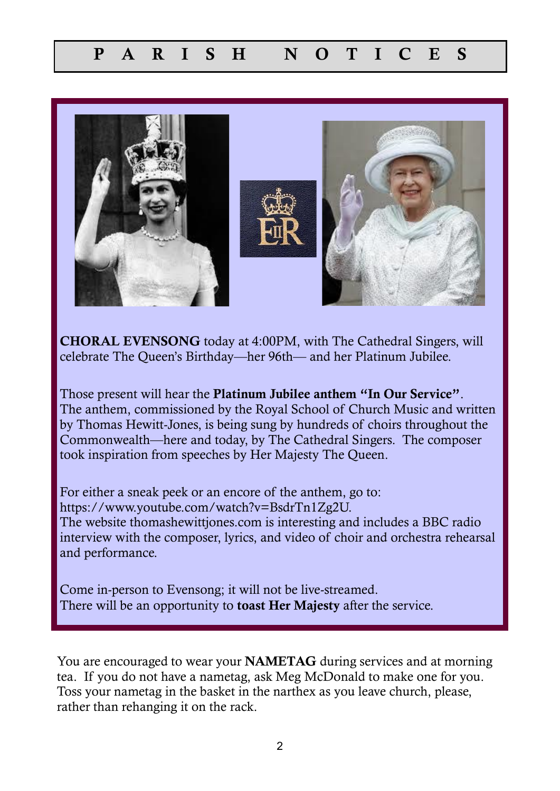

CHORAL EVENSONG today at 4:00PM, with The Cathedral Singers, will celebrate The Queen's Birthday—her 96th— and her Platinum Jubilee.

Those present will hear the **Platinum Jubilee anthem "In Our Service"**. The anthem, commissioned by the Royal School of Church Music and written by Thomas Hewitt-Jones, is being sung by hundreds of choirs throughout the Commonwealth—here and today, by The Cathedral Singers. The composer took inspiration from speeches by Her Majesty The Queen.

For either a sneak peek or an encore of the anthem, go to: https://www.youtube.com/watch?v=BsdrTn1Zg2U. The website thomashewittjones.com is interesting and includes a BBC radio interview with the composer, lyrics, and video of choir and orchestra rehearsal and performance.

Come in-person to Evensong; it will not be live-streamed. There will be an opportunity to **toast Her Majesty** after the service.

You are encouraged to wear your NAMETAG during services and at morning tea. If you do not have a nametag, ask Meg McDonald to make one for you. Toss your nametag in the basket in the narthex as you leave church, please, rather than rehanging it on the rack.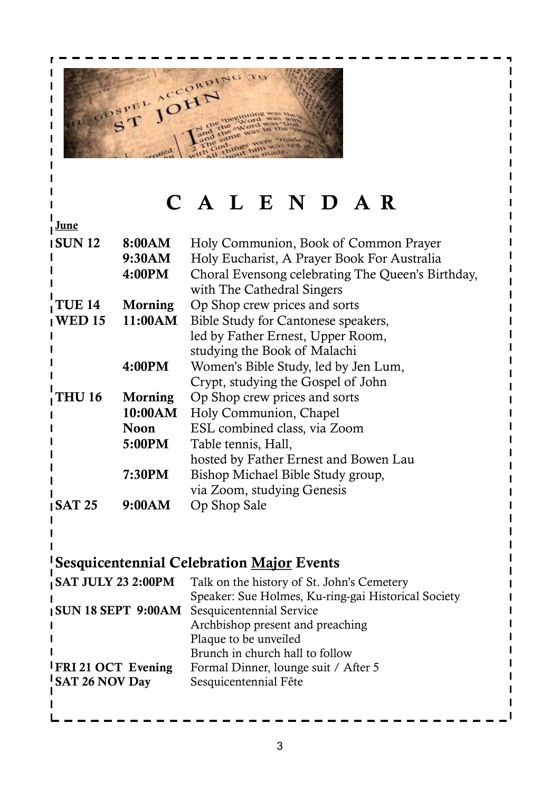

 $\mathbf I$  $\mathbf{I}$  $\mathbf{I}$ 

# C A L E N D A R

| <u>June</u>               |                |                                                     |  |
|---------------------------|----------------|-----------------------------------------------------|--|
| <b>ISUN 12</b><br>8:00AM  |                | Holy Communion, Book of Common Prayer               |  |
|                           | 9:30AM         | Holy Eucharist, A Prayer Book For Australia         |  |
|                           | 4:00PM         | Choral Evensong celebrating The Queen's Birthday,   |  |
|                           |                | with The Cathedral Singers                          |  |
| <b>TUE 14</b>             |                | Op Shop crew prices and sorts                       |  |
| <b>WED 15</b>             | <b>Morning</b> |                                                     |  |
|                           | 11:00AM        | Bible Study for Cantonese speakers,                 |  |
|                           |                | led by Father Ernest, Upper Room,                   |  |
|                           |                | studying the Book of Malachi                        |  |
|                           | 4:00PM         | Women's Bible Study, led by Jen Lum,                |  |
|                           |                | Crypt, studying the Gospel of John                  |  |
| <b>THU 16</b>             | Morning        | Op Shop crew prices and sorts                       |  |
|                           | 10:00AM        | Holy Communion, Chapel                              |  |
|                           | <b>Noon</b>    | ESL combined class, via Zoom                        |  |
|                           | 5:00PM         | Table tennis, Hall,                                 |  |
|                           |                | hosted by Father Ernest and Bowen Lau               |  |
|                           | 7:30PM         | Bishop Michael Bible Study group,                   |  |
|                           |                | via Zoom, studying Genesis                          |  |
| ISAT <sub>25</sub>        | 9:00AM         | Op Shop Sale                                        |  |
|                           |                |                                                     |  |
|                           |                |                                                     |  |
|                           |                |                                                     |  |
|                           |                | <b>Sesquicentennial Celebration Major Events</b>    |  |
| <b>SAT JULY 23 2:00PM</b> |                | Talk on the history of St. John's Cemetery          |  |
|                           |                | Speaker: Sue Holmes, Ku-ring-gai Historical Society |  |
| <b>SUN 18 SEPT 9:00AM</b> |                | Sesquicentennial Service                            |  |
|                           |                | Archbishop present and preaching                    |  |
|                           |                | Plaque to be unveiled                               |  |
|                           |                | Brunch in church hall to follow                     |  |
| <b>IFRI21 OCT Evening</b> |                | Formal Dinner, lounge suit / After 5                |  |
| <b>SAT 26 NOV Day</b>     |                | Sesquicentennial Fête                               |  |
|                           |                |                                                     |  |
|                           |                |                                                     |  |